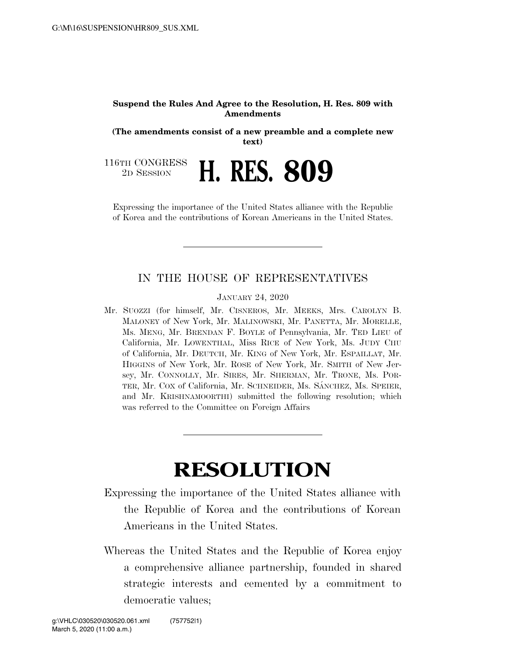## **Suspend the Rules And Agree to the Resolution, H. Res. 809 with Amendments**

**(The amendments consist of a new preamble and a complete new text)** 

116TH CONGRESS

<sup>TH CONGRESS</sup> H. RES. 809

Expressing the importance of the United States alliance with the Republic of Korea and the contributions of Korean Americans in the United States.

## IN THE HOUSE OF REPRESENTATIVES

JANUARY 24, 2020

Mr. SUOZZI (for himself, Mr. CISNEROS, Mr. MEEKS, Mrs. CAROLYN B. MALONEY of New York, Mr. MALINOWSKI, Mr. PANETTA, Mr. MORELLE, Ms. MENG, Mr. BRENDAN F. BOYLE of Pennsylvania, Mr. TED LIEU of California, Mr. LOWENTHAL, Miss RICE of New York, Ms. JUDY CHU of California, Mr. DEUTCH, Mr. KING of New York, Mr. ESPAILLAT, Mr. HIGGINS of New York, Mr. ROSE of New York, Mr. SMITH of New Jersey, Mr. CONNOLLY, Mr. SIRES, Mr. SHERMAN, Mr. TRONE, Ms. POR-TER, Mr. COX of California, Mr. SCHNEIDER, Ms. SÁNCHEZ, Ms. SPEIER, and Mr. KRISHNAMOORTHI) submitted the following resolution; which was referred to the Committee on Foreign Affairs

## **RESOLUTION**

Expressing the importance of the United States alliance with the Republic of Korea and the contributions of Korean Americans in the United States.

Whereas the United States and the Republic of Korea enjoy a comprehensive alliance partnership, founded in shared strategic interests and cemented by a commitment to democratic values;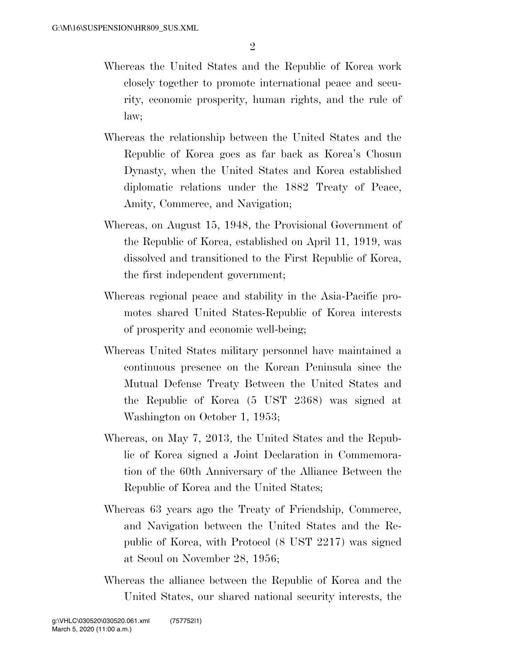- Whereas the United States and the Republic of Korea work closely together to promote international peace and security, economic prosperity, human rights, and the rule of law;
- Whereas the relationship between the United States and the Republic of Korea goes as far back as Korea's Chosun Dynasty, when the United States and Korea established diplomatic relations under the 1882 Treaty of Peace, Amity, Commerce, and Navigation;
- Whereas, on August 15, 1948, the Provisional Government of the Republic of Korea, established on April 11, 1919, was dissolved and transitioned to the First Republic of Korea, the first independent government;
- Whereas regional peace and stability in the Asia-Pacific promotes shared United States-Republic of Korea interests of prosperity and economic well-being;
- Whereas United States military personnel have maintained a continuous presence on the Korean Peninsula since the Mutual Defense Treaty Between the United States and the Republic of Korea (5 UST 2368) was signed at Washington on October 1, 1953;
- Whereas, on May 7, 2013, the United States and the Republic of Korea signed a Joint Declaration in Commemoration of the 60th Anniversary of the Alliance Between the Republic of Korea and the United States;
- Whereas 63 years ago the Treaty of Friendship, Commerce, and Navigation between the United States and the Republic of Korea, with Protocol (8 UST 2217) was signed at Seoul on November 28, 1956;
- Whereas the alliance between the Republic of Korea and the United States, our shared national security interests, the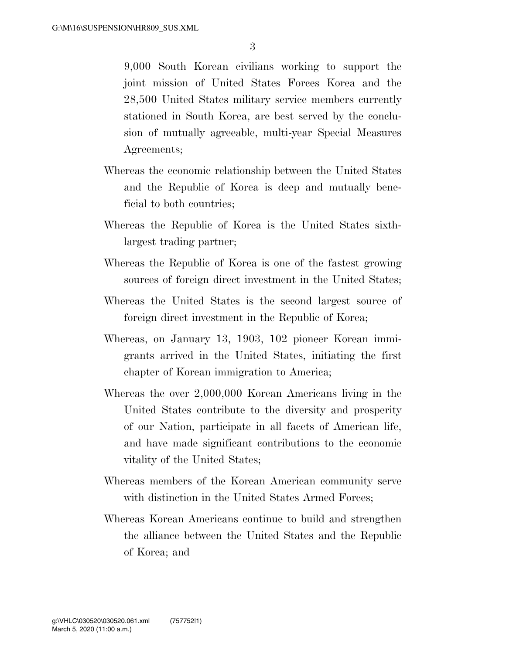9,000 South Korean civilians working to support the joint mission of United States Forces Korea and the 28,500 United States military service members currently stationed in South Korea, are best served by the conclusion of mutually agreeable, multi-year Special Measures Agreements;

- Whereas the economic relationship between the United States and the Republic of Korea is deep and mutually beneficial to both countries;
- Whereas the Republic of Korea is the United States sixthlargest trading partner;
- Whereas the Republic of Korea is one of the fastest growing sources of foreign direct investment in the United States;
- Whereas the United States is the second largest source of foreign direct investment in the Republic of Korea;
- Whereas, on January 13, 1903, 102 pioneer Korean immigrants arrived in the United States, initiating the first chapter of Korean immigration to America;
- Whereas the over 2,000,000 Korean Americans living in the United States contribute to the diversity and prosperity of our Nation, participate in all facets of American life, and have made significant contributions to the economic vitality of the United States;
- Whereas members of the Korean American community serve with distinction in the United States Armed Forces;
- Whereas Korean Americans continue to build and strengthen the alliance between the United States and the Republic of Korea; and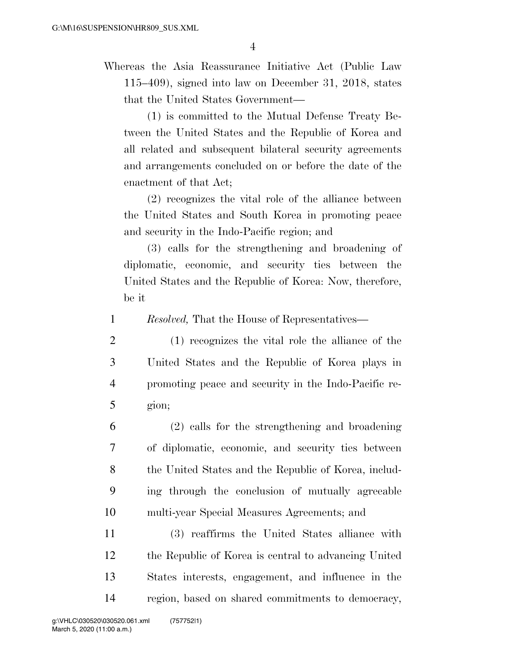Whereas the Asia Reassurance Initiative Act (Public Law 115–409), signed into law on December 31, 2018, states that the United States Government—

(1) is committed to the Mutual Defense Treaty Between the United States and the Republic of Korea and all related and subsequent bilateral security agreements and arrangements concluded on or before the date of the enactment of that Act;

(2) recognizes the vital role of the alliance between the United States and South Korea in promoting peace and security in the Indo-Pacific region; and

(3) calls for the strengthening and broadening of diplomatic, economic, and security ties between the United States and the Republic of Korea: Now, therefore, be it

1 *Resolved,* That the House of Representatives—

- 2 (1) recognizes the vital role the alliance of the 3 United States and the Republic of Korea plays in 4 promoting peace and security in the Indo-Pacific re-5 gion;
- 6 (2) calls for the strengthening and broadening 7 of diplomatic, economic, and security ties between 8 the United States and the Republic of Korea, includ-9 ing through the conclusion of mutually agreeable 10 multi-year Special Measures Agreements; and

 (3) reaffirms the United States alliance with the Republic of Korea is central to advancing United States interests, engagement, and influence in the region, based on shared commitments to democracy,